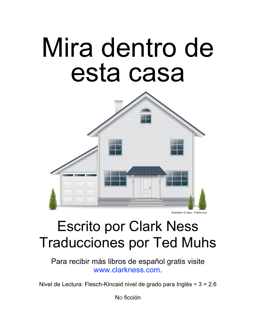# Mira dentro de esta casa



#### Illustration © opka - Fotolia.com

#### Escrito por Clark Ness Traducciones por Ted Muhs

Para recibir más libros de español gratis visite [www.clarkness.com.](http://www.clarkness.com)

Nivel de Lectura: Flesch-Kincaid nivel de grado para Inglés ÷ 3 = 2.6

No ficción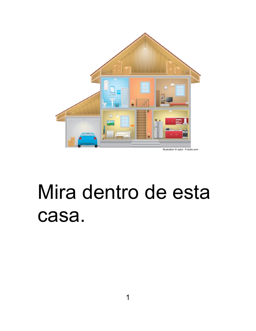

### Mira dentro de esta casa.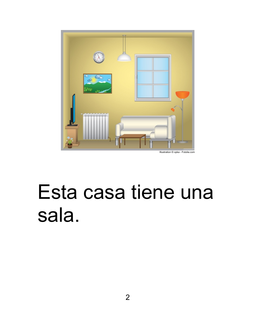

### Esta casa tiene una sala.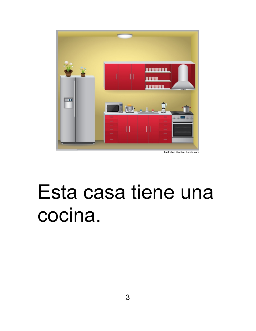

Esta casa tiene una cocina.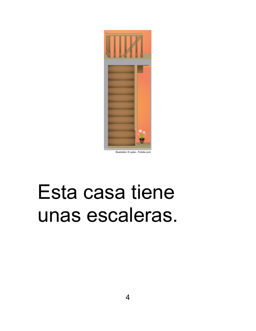

#### Esta casa tiene unas escaleras.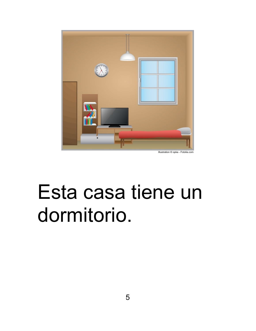

### Esta casa tiene un dormitorio.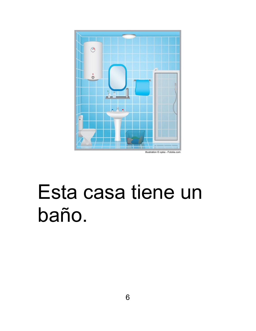

#### Esta casa tiene un baño.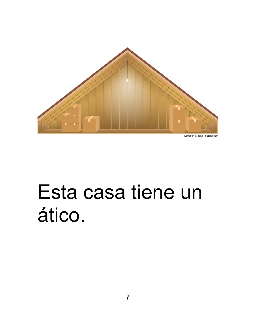

#### Esta casa tiene un ático.